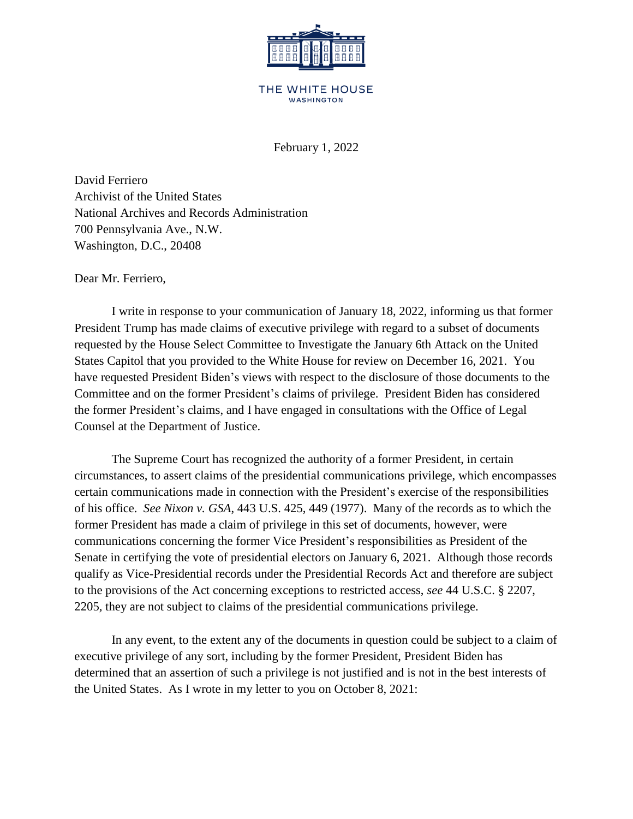

## THE WHITE HOUSE **WASHINGTON**

February 1, 2022

David Ferriero Archivist of the United States National Archives and Records Administration 700 Pennsylvania Ave., N.W. Washington, D.C., 20408

Dear Mr. Ferriero,

I write in response to your communication of January 18, 2022, informing us that former President Trump has made claims of executive privilege with regard to a subset of documents requested by the House Select Committee to Investigate the January 6th Attack on the United States Capitol that you provided to the White House for review on December 16, 2021. You have requested President Biden's views with respect to the disclosure of those documents to the Committee and on the former President's claims of privilege. President Biden has considered the former President's claims, and I have engaged in consultations with the Office of Legal Counsel at the Department of Justice.

The Supreme Court has recognized the authority of a former President, in certain circumstances, to assert claims of the presidential communications privilege, which encompasses certain communications made in connection with the President's exercise of the responsibilities of his office. *See Nixon v. GSA*, 443 U.S. 425, 449 (1977). Many of the records as to which the former President has made a claim of privilege in this set of documents, however, were communications concerning the former Vice President's responsibilities as President of the Senate in certifying the vote of presidential electors on January 6, 2021. Although those records qualify as Vice-Presidential records under the Presidential Records Act and therefore are subject to the provisions of the Act concerning exceptions to restricted access, *see* 44 U.S.C. § 2207, 2205*,* they are not subject to claims of the presidential communications privilege.

In any event, to the extent any of the documents in question could be subject to a claim of executive privilege of any sort, including by the former President, President Biden has determined that an assertion of such a privilege is not justified and is not in the best interests of the United States. As I wrote in my letter to you on October 8, 2021: